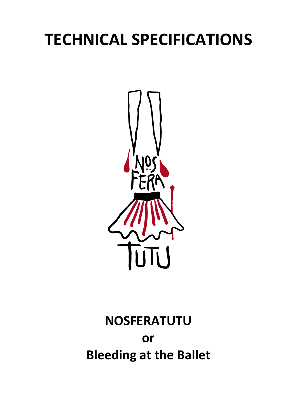# **TECHNICAL SPECIFICATIONS**



# **NOSFERATUTU or Bleeding at the Ballet**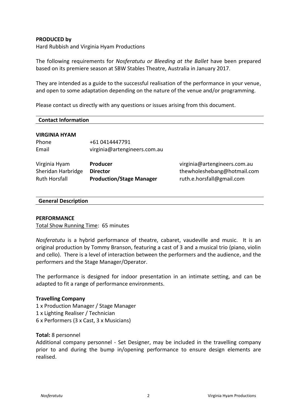#### **PRODUCED by**

Hard Rubbish and Virginia Hyam Productions

The following requirements for *Nosferatutu or Bleeding at the Ballet* have been prepared based on its premiere season at SBW Stables Theatre, Australia in January 2017.

They are intended as a guide to the successful realisation of the performance in your venue, and open to some adaptation depending on the nature of the venue and/or programming.

Please contact us directly with any questions or issues arising from this document.

| <b>Contact Information</b> |
|----------------------------|
|----------------------------|

#### **VIRGINIA HYAM**

| Phone | +61 0414447791               |
|-------|------------------------------|
| Email | virginia@artengineers.com.au |

| Virginia Hyam      | <b>Producer</b>                 | virginia@artengineers.com.au |
|--------------------|---------------------------------|------------------------------|
| Sheridan Harbridge | Director                        | thewholeshebang@hotmail.com  |
| Ruth Horsfall      | <b>Production/Stage Manager</b> | ruth.e.horsfall@gmail.com    |

#### **General Description**

#### **PERFORMANCE**

Total Show Running Time: 65 minutes

*Nosferatutu* is a hybrid performance of theatre, cabaret, vaudeville and music. It is an original production by Tommy Branson, featuring a cast of 3 and a musical trio (piano, violin and cello). There is a level of interaction between the performers and the audience, and the performers and the Stage Manager/Operator.

The performance is designed for indoor presentation in an intimate setting, and can be adapted to fit a range of performance environments.

#### **Travelling Company**

1 x Production Manager / Stage Manager 1 x Lighting Realiser / Technician 6 x Performers (3 x Cast, 3 x Musicians)

#### **Total:** 8 personnel

Additional company personnel - Set Designer, may be included in the travelling company prior to and during the bump in/opening performance to ensure design elements are realised.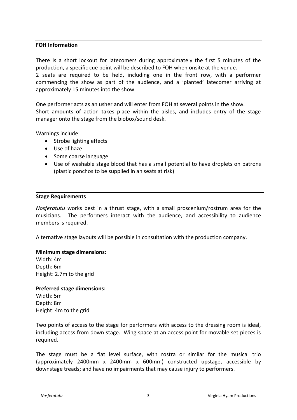#### **FOH Information**

There is a short lockout for latecomers during approximately the first 5 minutes of the production, a specific cue point will be described to FOH when onsite at the venue. 2 seats are required to be held, including one in the front row, with a performer commencing the show as part of the audience, and a 'planted' latecomer arriving at approximately 15 minutes into the show.

One performer acts as an usher and will enter from FOH at several points in the show. Short amounts of action takes place within the aisles, and includes entry of the stage manager onto the stage from the biobox/sound desk.

Warnings include:

- Strobe lighting effects
- Use of haze
- Some coarse language
- Use of washable stage blood that has a small potential to have droplets on patrons (plastic ponchos to be supplied in an seats at risk)

#### **Stage Requirements**

*Nosferatutu* works best in a thrust stage, with a small proscenium/rostrum area for the musicians. The performers interact with the audience, and accessibility to audience members is required.

Alternative stage layouts will be possible in consultation with the production company.

#### **Minimum stage dimensions:**

Width: 4m Depth: 6m Height: 2.7m to the grid

#### **Preferred stage dimensions:**

Width: 5m Depth: 8m Height: 4m to the grid

Two points of access to the stage for performers with access to the dressing room is ideal, including access from down stage. Wing space at an access point for movable set pieces is required.

The stage must be a flat level surface, with rostra or similar for the musical trio (approximately 2400mm x 2400mm x 600mm) constructed upstage, accessible by downstage treads; and have no impairments that may cause injury to performers.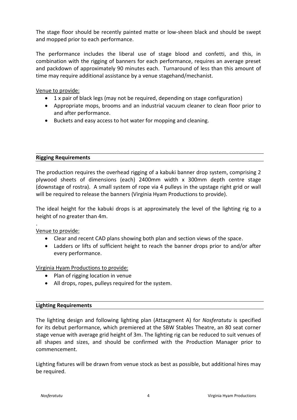The stage floor should be recently painted matte or low-sheen black and should be swept and mopped prior to each performance.

The performance includes the liberal use of stage blood and confetti, and this, in combination with the rigging of banners for each performance, requires an average preset and packdown of approximately 90 minutes each. Turnaround of less than this amount of time may require additional assistance by a venue stagehand/mechanist.

Venue to provide:

- 1 x pair of black legs (may not be required, depending on stage configuration)
- Appropriate mops, brooms and an industrial vacuum cleaner to clean floor prior to and after performance.
- Buckets and easy access to hot water for mopping and cleaning.

# **Rigging Requirements**

The production requires the overhead rigging of a kabuki banner drop system, comprising 2 plywood sheets of dimensions (each) 2400mm width x 300mm depth centre stage (downstage of rostra). A small system of rope via 4 pulleys in the upstage right grid or wall will be required to release the banners (Virginia Hyam Productions to provide).

The ideal height for the kabuki drops is at approximately the level of the lighting rig to a height of no greater than 4m.

. Venue to provide:

- Clear and recent CAD plans showing both plan and section views of the space.
- Ladders or lifts of sufficient height to reach the banner drops prior to and/or after every performance.

Virginia Hyam Productions to provide:

- Plan of rigging location in venue
- All drops, ropes, pulleys required for the system.

# **Lighting Requirements**

The lighting design and following lighting plan (Attacgment A) for *Nosferatutu* is specified for its debut performance, which premiered at the SBW Stables Theatre, an 80 seat corner stage venue with average grid height of 3m. The lighting rig can be reduced to suit venues of all shapes and sizes, and should be confirmed with the Production Manager prior to commencement.

Lighting fixtures will be drawn from venue stock as best as possible, but additional hires may be required.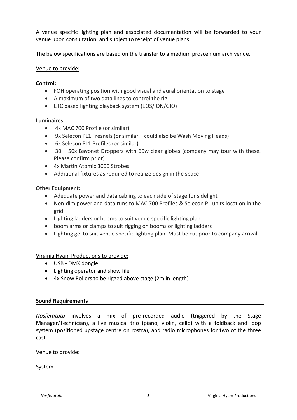A venue specific lighting plan and associated documentation will be forwarded to your venue upon consultation, and subject to receipt of venue plans.

The below specifications are based on the transfer to a medium proscenium arch venue.

# Venue to provide:

# **Control:**

- FOH operating position with good visual and aural orientation to stage
- A maximum of two data lines to control the rig
- ETC based lighting playback system (EOS/ION/GIO)

# **Luminaires:**

- 4x MAC 700 Profile (or similar)
- 9x Selecon PL1 Fresnels (or similar could also be Wash Moving Heads)
- 6x Selecon PL1 Profiles (or similar)
- 30 50x Bayonet Droppers with 60w clear globes (company may tour with these. Please confirm prior)
- 4x Martin Atomic 3000 Strobes
- Additional fixtures as required to realize design in the space

# **Other Equipment:**

- Adequate power and data cabling to each side of stage for sidelight
- Non-dim power and data runs to MAC 700 Profiles & Selecon PL units location in the grid.
- Lighting ladders or booms to suit venue specific lighting plan
- boom arms or clamps to suit rigging on booms or lighting ladders
- Lighting gel to suit venue specific lighting plan. Must be cut prior to company arrival.

# Virginia Hyam Productions to provide:

- USB DMX dongle
- Lighting operator and show file
- 4x Snow Rollers to be rigged above stage (2m in length)

# **Sound Requirements**

*Nosferatutu* involves a mix of pre-recorded audio (triggered by the Stage Manager/Technician), a live musical trio (piano, violin, cello) with a foldback and loop system (positioned upstage centre on rostra), and radio microphones for two of the three cast.

# Venue to provide:

System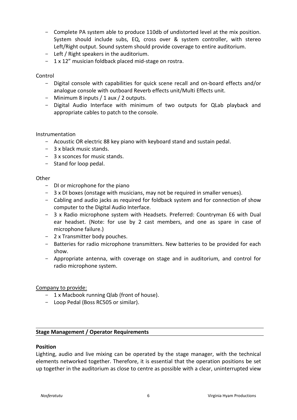- Complete PA system able to produce 110db of undistorted level at the mix position. System should include subs, EQ, cross over & system controller, with stereo Left/Right output. Sound system should provide coverage to entire auditorium.
- Left / Right speakers in the auditorium.
- 1 x 12" musician foldback placed mid-stage on rostra.

# Control

- Digital console with capabilities for quick scene recall and on-board effects and/or analogue console with outboard Reverb effects unit/Multi Effects unit.
- Minimum 8 inputs / 1 aux / 2 outputs.
- Digital Audio Interface with minimum of two outputs for QLab playback and appropriate cables to patch to the console.

# Instrumentation

- Acoustic OR electric 88 key piano with keyboard stand and sustain pedal.
- 3 x black music stands.
- 3 x sconces for music stands.
- Stand for loop pedal.

# **Other**

- DI or microphone for the piano
- 3 x DI boxes (onstage with musicians, may not be required in smaller venues).
- Cabling and audio jacks as required for foldback system and for connection of show computer to the Digital Audio Interface.
- 3 x Radio microphone system with Headsets. Preferred: Countryman E6 with Dual ear headset. (Note: for use by 2 cast members, and one as spare in case of microphone failure.)
- 2 x Transmitter body pouches.
- Batteries for radio microphone transmitters. New batteries to be provided for each show.
- Appropriate antenna, with coverage on stage and in auditorium, and control for radio microphone system.

# Company to provide:

- 1 x Macbook running Qlab (front of house).
- Loop Pedal (Boss RC505 or similar).

# **Stage Management / Operator Requirements**

# **Position**

Lighting, audio and live mixing can be operated by the stage manager, with the technical elements networked together. Therefore, it is essential that the operation positions be set up together in the auditorium as close to centre as possible with a clear, uninterrupted view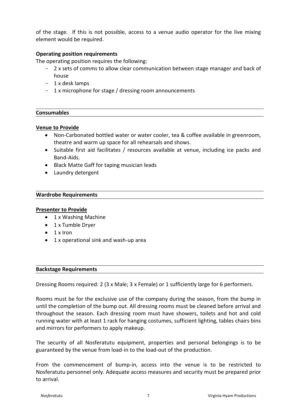of the stage. If this is not possible, access to a venue audio operator for the live mixing element would be required.

# **Operating position requirements**

The operating position requires the following:

- 2 x sets of comms to allow clear communication between stage manager and back of house
- 1 x desk lamps
- 1 x microphone for stage / dressing room announcements

#### **Consumables**

#### **Venue to Provide**

- Non-Carbonated bottled water or water cooler, tea & coffee available in greenroom, theatre and warm up space for all rehearsals and shows.
- Suitable first aid facilitates / resources available at venue, including ice packs and Band-Aids.
- Black Matte Gaff for taping musician leads
- Laundry detergent

#### **Wardrobe Requirements**

#### **Presenter to Provide**

- 1 x Washing Machine
- 1 x Tumble Dryer
- $\bullet$  1 x Iron
- 1 x operational sink and wash-up area

#### **Backstage Requirements**

Dressing Rooms required: 2 (3 x Male; 3 x Female) or 1 sufficiently large for 6 performers.

Rooms must be for the exclusive use of the company during the season, from the bump in until the completion of the bump out. All dressing rooms must be cleaned before arrival and throughout the season. Each dressing room must have showers, toilets and hot and cold running water with at least 1 rack for hanging costumes, sufficient lighting, tables chairs bins and mirrors for performers to apply makeup.

The security of all Nosferatutu equipment, properties and personal belongings is to be guaranteed by the venue from load-in to the load-out of the production.

From the commencement of bump-in, access into the venue is to be restricted to Nosferatutu personnel only. Adequate access measures and security must be prepared prior to arrival.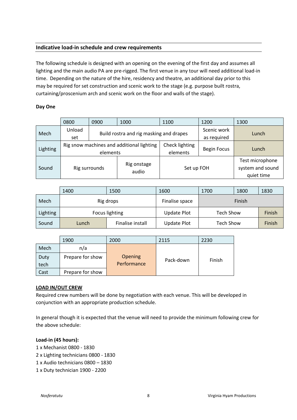# **Indicative load-in schedule and crew requirements**

The following schedule is designed with an opening on the evening of the first day and assumes all lighting and the main audio PA are pre-rigged. The first venue in any tour will need additional load-in time. Depending on the nature of the hire, residency and theatre, an additional day prior to this may be required for set construction and scenic work to the stage (e.g. purpose built rostra, curtaining/proscenium arch and scenic work on the floor and walls of the stage).

#### **Day One**

|          | 0800                                      | 0900                                    | 1000           | 1100               | 1200        | 1300                                              |  |
|----------|-------------------------------------------|-----------------------------------------|----------------|--------------------|-------------|---------------------------------------------------|--|
|          | Unload                                    | Build rostra and rig masking and drapes |                |                    | Scenic work |                                                   |  |
| Mech     | set                                       |                                         |                |                    | as required | Lunch                                             |  |
| Lighting | Rig snow machines and additional lighting |                                         | Check lighting | <b>Begin Focus</b> | Lunch       |                                                   |  |
|          | elements                                  |                                         |                | elements           |             |                                                   |  |
| Sound    |                                           | Rig onstage<br>Rig surrounds<br>audio   |                | Set up FOH         |             | Test microphone<br>system and sound<br>quiet time |  |

|                 | 1400           | 1500             | 1600               | 1700             | 1800 | 1830   |
|-----------------|----------------|------------------|--------------------|------------------|------|--------|
| Mech            |                | Rig drops        | Finalise space     | Finish           |      |        |
| <b>Lighting</b> | Focus lighting |                  | <b>Update Plot</b> | <b>Tech Show</b> |      | Finish |
| Sound           | Lunch          | Finalise install | <b>Update Plot</b> | <b>Tech Show</b> |      | Finish |

|              | 1900             | 2000                          | 2115      | 2230   |
|--------------|------------------|-------------------------------|-----------|--------|
| Mech         | n/a              |                               |           |        |
| Duty<br>tech | Prepare for show | <b>Opening</b><br>Performance | Pack-down | Finish |
| Cast         | Prepare for show |                               |           |        |

#### **LOAD IN/OUT CREW**

Required crew numbers will be done by negotiation with each venue. This will be developed in conjunction with an appropriate production schedule.

In general though it is expected that the venue will need to provide the minimum following crew for the above schedule:

#### **Load-in (45 hours):**

- 1 x Mechanist 0800 1830
- 2 x Lighting technicians 0800 1830
- 1 x Audio technicians 0800 1830
- 1 x Duty technician 1900 2200